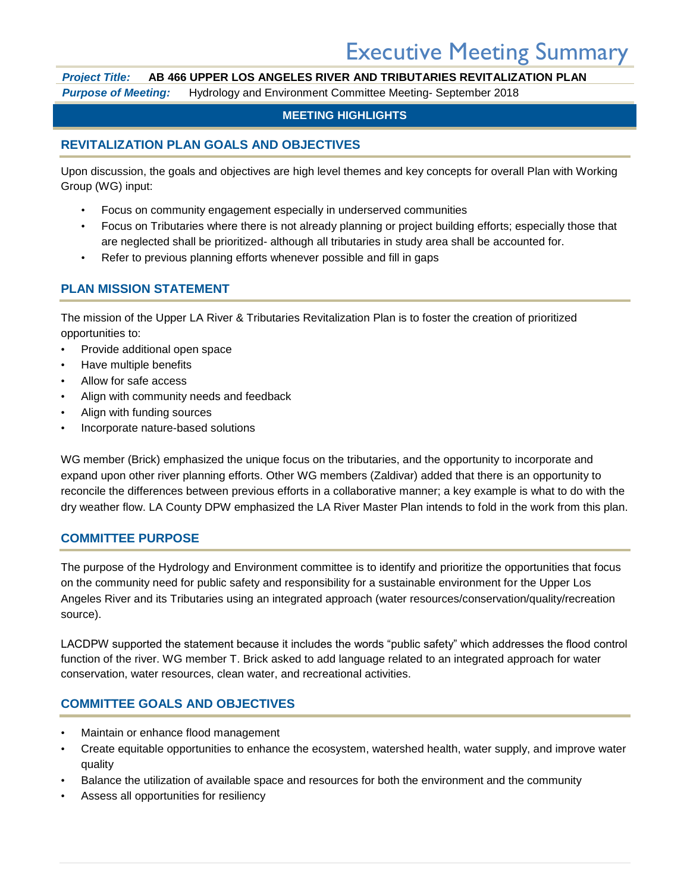# Executive Meeting Summary

# *Project Title:* **AB 466 UPPER LOS ANGELES RIVER AND TRIBUTARIES REVITALIZATION PLAN**

*Purpose of Meeting:* Hydrology and Environment Committee Meeting- September 2018

## **MEETING HIGHLIGHTS**

# **REVITALIZATION PLAN GOALS AND OBJECTIVES**

Upon discussion, the goals and objectives are high level themes and key concepts for overall Plan with Working Group (WG) input:

- Focus on community engagement especially in underserved communities
- Focus on Tributaries where there is not already planning or project building efforts; especially those that are neglected shall be prioritized- although all tributaries in study area shall be accounted for.
- Refer to previous planning efforts whenever possible and fill in gaps

# **PLAN MISSION STATEMENT**

The mission of the Upper LA River & Tributaries Revitalization Plan is to foster the creation of prioritized opportunities to:

- Provide additional open space
- Have multiple benefits
- Allow for safe access
- Align with community needs and feedback
- Align with funding sources
- Incorporate nature-based solutions

WG member (Brick) emphasized the unique focus on the tributaries, and the opportunity to incorporate and expand upon other river planning efforts. Other WG members (Zaldivar) added that there is an opportunity to reconcile the differences between previous efforts in a collaborative manner; a key example is what to do with the dry weather flow. LA County DPW emphasized the LA River Master Plan intends to fold in the work from this plan.

#### **COMMITTEE PURPOSE**

The purpose of the Hydrology and Environment committee is to identify and prioritize the opportunities that focus on the community need for public safety and responsibility for a sustainable environment for the Upper Los Angeles River and its Tributaries using an integrated approach (water resources/conservation/quality/recreation source).

LACDPW supported the statement because it includes the words "public safety" which addresses the flood control function of the river. WG member T. Brick asked to add language related to an integrated approach for water conservation, water resources, clean water, and recreational activities.

# **COMMITTEE GOALS AND OBJECTIVES**

- Maintain or enhance flood management
- Create equitable opportunities to enhance the ecosystem, watershed health, water supply, and improve water quality
- Balance the utilization of available space and resources for both the environment and the community
- Assess all opportunities for resiliency